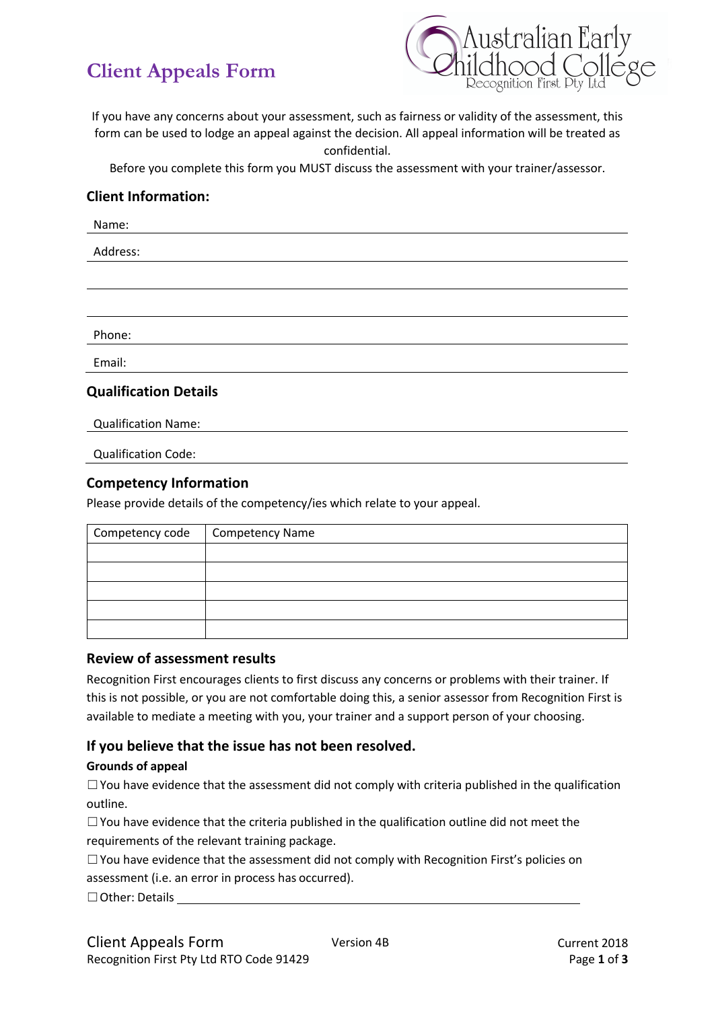# **Client Appeals Form**



If you have any concerns about your assessment, such as fairness or validity of the assessment, this form can be used to lodge an appeal against the decision. All appeal information will be treated as confidential.

Before you complete this form you MUST discuss the assessment with your trainer/assessor.

## **Client Information:**

Name:

Address:

Phone:

Email:

## **Qualification Details**

Qualification Name:

Qualification Code:

## **Competency Information**

Please provide details of the competency/ies which relate to your appeal.

| Competency code   Competency Name |  |
|-----------------------------------|--|
|                                   |  |
|                                   |  |
|                                   |  |
|                                   |  |
|                                   |  |

#### **Review of assessment results**

Recognition First encourages clients to first discuss any concerns or problems with their trainer. If this is not possible, or you are not comfortable doing this, a senior assessor from Recognition First is available to mediate a meeting with you, your trainer and a support person of your choosing.

## **If you believe that the issue has not been resolved.**

#### **Grounds of appeal**

 $\Box$  You have evidence that the assessment did not comply with criteria published in the qualification outline.

☐You have evidence that the criteria published in the qualification outline did not meet the requirements of the relevant training package.

 $\Box$  You have evidence that the assessment did not comply with Recognition First's policies on assessment (i.e. an error in process has occurred).

☐Other: Details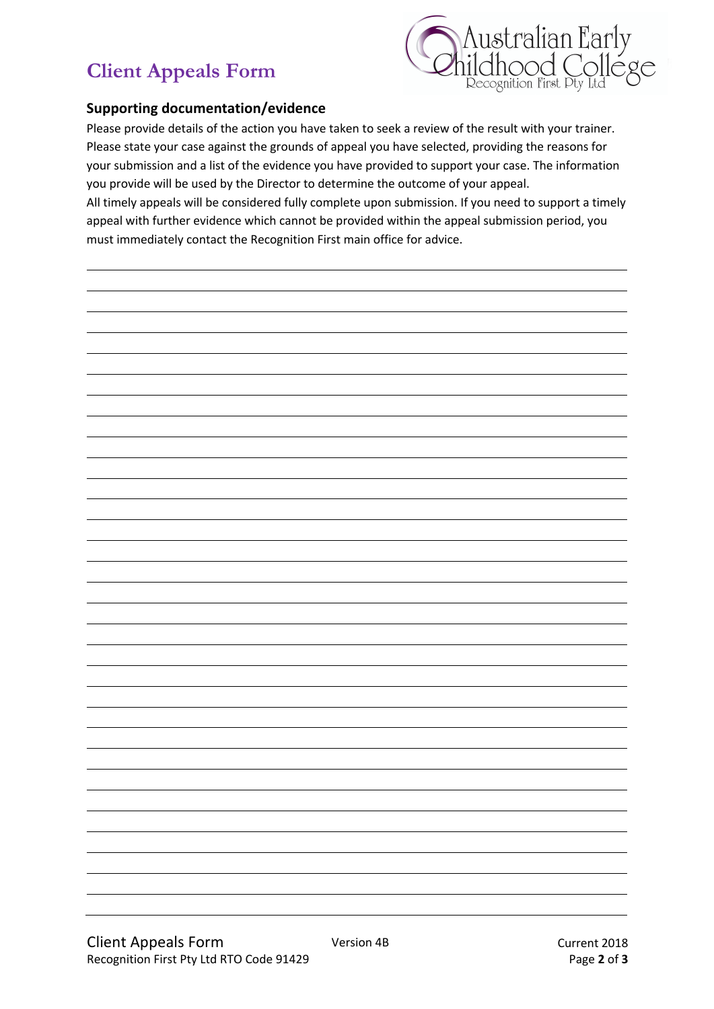# **Client Appeals Form**



## **Supporting documentation/evidence**

Please provide details of the action you have taken to seek a review of the result with your trainer. Please state your case against the grounds of appeal you have selected, providing the reasons for your submission and a list of the evidence you have provided to support your case. The information you provide will be used by the Director to determine the outcome of your appeal.

All timely appeals will be considered fully complete upon submission. If you need to support a timely appeal with further evidence which cannot be provided within the appeal submission period, you must immediately contact the Recognition First main office for advice.